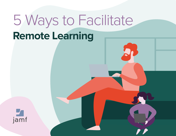# **Remote Learning** 5 Ways to Facilitate

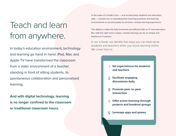### Teach and learn from anywhere.

In today's education environment, technology and learning go hand in hand. iPad, Mac and Apple TV have transformed the classroom from a static environment of a teacher standing in front of sitting students, to spontaneous collaboration and personalized learning.

**And with digital technology, learning is no longer confined to the classroom or traditional classroom hours.**

In the wake of a health crisis — and to best keep students and educators safe — schools are re-evaluating their teaching practices and learning environments to accommodate an at-home, remote learning experience.

The ability to make this fully functional and efficient falls on IT and educators. But, with the right tools in place, remote learning can be as simple and intuitive as in-person.

In our e-book, we identify five ways you can best serve students and teachers when you move learning online. We cover how to:

#### Set expectations for students and teachers **1**

- Facilitate engaging discussions daily **2**
- Promote peer-to-peer interaction **3**
- Offer active learning through projects and breakout groups **4**
- Leverage apps and games **5**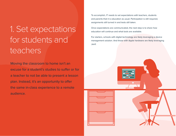1. Set expectations for students and teachers

Moving the classroom to home isn't an excuse for a student's studies to suffer or for a teacher to not be able to present a lesson plan. Instead, it's an opportunity to offer the same in-class experience to a remote audience.

To accomplish, IT needs to set expectations with teachers, students and parents that it is education as usual. Participation is still required, assignments still turned in and tests still taken.

Once expectations are communicated, the next step is to share how education will continue and what tools are available.

For starters, schools with digital technology are likely leveraging a device management solution. And those with Apple hardware are likely leveraging Jamf.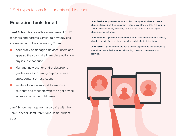#### 1. Set expectations for students and teachers

#### **Education tools for all**

**[Jamf School](https://www.jamf.com/products/jamf-school/)** is accessible management for IT, teachers and parents. Similar to how devices are managed in the classroom, IT can:

- Keep track of managed devices, users and apps so they can take immediate action on any issues that arise
- Manage individual or entire classroom/ grade devices to simply deploy required apps, content or restrictions
- Institute location support to empower students and teachers with the right device access at only the right times

Jamf School management also pairs with the Jamf Teacher, Jamf Parent and Jamf Student apps.

**Jamf Teacher** — gives teachers the tools to manage their class and keep students focused on their education — regardless of where they are learning. This includes restricting websites, apps and the camera, plus locking all student devices at once.

**Jamf Student** — gives students restricted permissions over their own device, allowing them to focus on their education and eliminate distractions.

**Jamf Parent** — gives parents the ability to limit apps and device functionality on their student's device; again, eliminating potential distractions from learning.

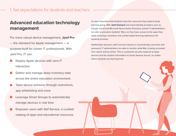#### 1. Set expectations for students and teachers

### **Advanced education technology management**

For more robust device management, **[Jamf Pro](https://www.jamf.com/products/jamf-pro/)** — the standard for Apple management — is purpose-built for career IT professionals. With Jamf Pro, IT can:

- Deploy Apple devices with zero IT interaction
- Gather and manage deep inventory data across the entire education environment
- Tailor device behavior through restrictions, app whitelisting and more
- Leverage Smart Groups to automatically manage devices in real time
- Empower users with Self Service, a curated catalog of apps and educational resources

It's also imperative that students have the resources they need to keep learning going. With **[Jamf Connect](https://www.jamf.com/products/jamf-connect/)** and cloud-identity providers such as Google Cloud and Microsoft Azure Active Directory, school IT administrators are able to provision students' Macs so they have access to the apps they need, ensuring a seamless and uninterrupted learning experience for students at home.

Additionally, because Jamf Connect requires a cloud-identity username and password, IT administrators are able to monitor what Mac is being accessed, from where and by whom. This is a powerful security measure to keep devices and the student information on those devices secure, no matter where students are learning from.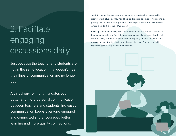### 2. Facilitate engaging discussions daily

Just because the teacher and students are not in the same location, that doesn't mean their lines of communication are no longer open.

A virtual environment mandates even better and more personal communication between teachers and students. Increased communication keeps everyone engaged and connected and encourages better learning and more quality connections.

Jamf School facilitates classroom management so teachers can quickly identify which students may need help and require attention. This is done by pairing Jamf School with Apple's Classroom app to allow teachers to view where a student is in their iPad lesson.

By using Chat functionality within Jamf School, the teacher and student can then communicate and facilitate learning on more of a personal level — all without calling attention to the student or requiring them to be in the same physical space. And this is all done through the Jamf Student app, which facilitates secure, two-way communication.

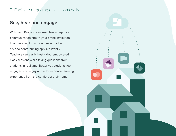#### 2. Facilitate engaging discussions daily

#### **See, hear and engage**

With Jamf Pro, you can seamlessly deploy a communication app to your entire institution. Imagine enabling your entire school with a video conferencing app like WebEx. Teachers can easily host video-empowered class sessions while taking questions from students in real time. Better yet, students feel engaged and enjoy a true face-to-face learning experience from the comfort of their home.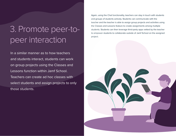### 3. Promote peer-topeer interaction

In a similar manner as to how teachers and students interact, students can work on group projects using the Classes and Lessons function within Jamf School. Teachers can create ad hoc classes with select students and assign projects to only those students.

Again, using the Chat functionality, teachers can stay in touch with students and groups of students actively. Students can communicate with the teacher and the teacher is able to assign group projects and activities using the Classes and Lessons feature to create assignments among multiple students. Students can then leverage third-party apps vetted by the teacher to empower students to collaborate outside of Jamf School on the assigned project.

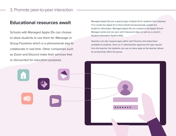#### 3. Promote peer-to-peer interaction

#### **Educational resources await**

Schools with Managed Apple IDs can choose to allow students to use them for iMessage or Group Facetime which is a phenomenal way to collaborate in real time. Other companies such as Zoom and Discord make their services free or discounted for education purposes.

Managed Apple IDs are a special type of Apple ID for students that empower IT to create the Apple ID on their behalf and dynamically update the student's information. Managed Apple IDs are created in the Apple School Manager portal and can sync with Classroom data, as well as a school's Student Information System (SIS).

Teachers can also request apps within Jamf Teacher and make them available to students. Once an IT administrator approves the app request from the teacher, the students can use as many apps as the teacher allows for productivity within the group.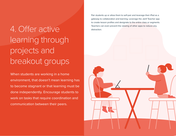## 4. Offer active learning through projects and breakout groups

When students are working in a home environment, that doesn't mean learning has to become stagnant or that learning must be done independently. Encourage students to work on tasks that require coordination and communication between their peers.

Pair students up or allow them to self-pair and leverage their iPad as a gateway to collaboration and learning. Leverage the Jamf Teacher app to create lesson profiles and designate to the entire class or segments. Teachers can even prevent the viewing of other apps to reduce any distraction.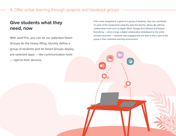#### 4. Offer active learning through projects and breakout groups

### **Give students what they need, now**

With Jamf Pro, you can let our patented Smart Groups do the heavy lifting. Quickly define a group of students and let Smart Groups deploy pre-selected apps — like communication tools — right to their devices.

If the same assignment is given to a group of students, they can coordinate on parts of the assignment using the apps the teacher allows. By utilizing collaboration tools such as Apple iWork, Google Docs/Sheets and Explain Everything — which brings a digital collaborative whiteboard to the entire (virtual) classroom — students stay engaged and are able to feel a part of the group in their individual learning environment.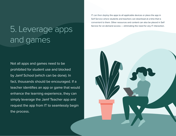### S. Leverage apps Service for on-demand access - eliminating the need for any IT interaction. and games

Not all apps and games need to be prohibited for student use and blocked by Jamf School (which can be done). In fact, thousands should be encouraged. If a teacher identifies an app or game that would enhance the learning experience, they can simply leverage the Jamf Teacher app and request the app from IT to seamlessly begin the process.

IT can then deploy the apps to all applicable devices or place the app in Self Service where students and teachers can download at a time that is convenient to them. Other resources and content can also be placed in Self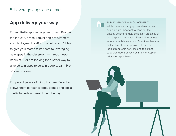#### 5. Leverage apps and games

#### **App delivery your way**

For multi-site app management, Jamf Pro has the industry's most robust app procurement and deployment platform. Whether you'd like to give your staff a faster path to leveraging new apps in the classroom — through App Request — or are looking for a better way to give certain apps to certain people, Jamf Pro has you covered.

For parent peace of mind, the Jamf Parent app allows them to restrict apps, games and social media to certain times during the day.

PUBLIC SERVICE ANNOUNCEMENT: While there are many apps and resources available, it's important to consider the privacy policy and data collection practices of these apps and services. First and foremost, leverage mobile versions of services that your district has already approved. From there, look at reputable services and tools that support student privacy, as many of Apple's education apps have.